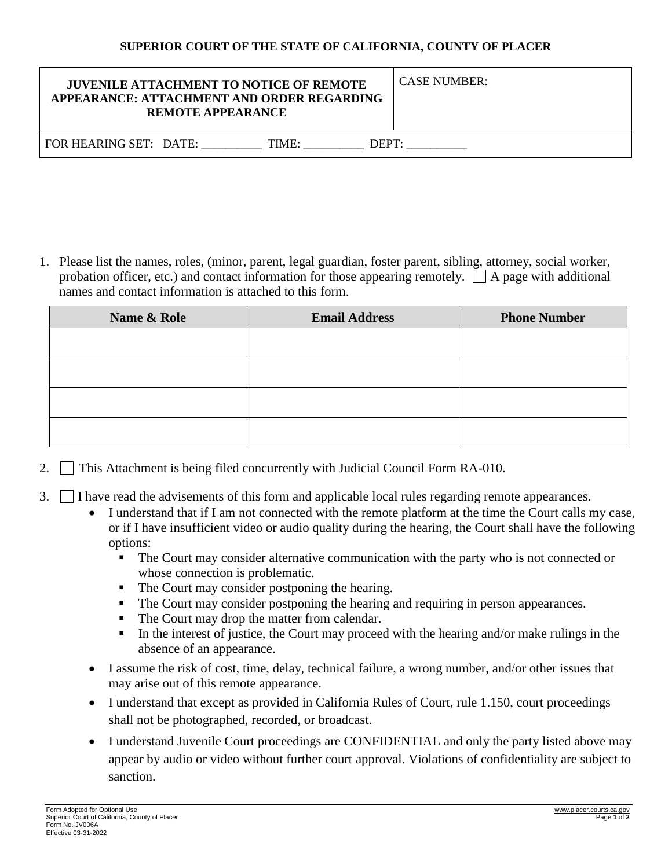## **SUPERIOR COURT OF THE STATE OF CALIFORNIA, COUNTY OF PLACER**

| <b>JUVENILE ATTACHMENT TO NOTICE OF REMOTE</b><br>APPEARANCE: ATTACHMENT AND ORDER REGARDING<br><b>REMOTE APPEARANCE</b> | <b>CASE NUMBER:</b> |
|--------------------------------------------------------------------------------------------------------------------------|---------------------|
| FOR HEARING SET: DATE:<br>TIME:<br>DEF                                                                                   |                     |

1. Please list the names, roles, (minor, parent, legal guardian, foster parent, sibling, attorney, social worker, probation officer, etc.) and contact information for those appearing remotely.  $\Box$  A page with additional names and contact information is attached to this form.

| Name & Role | <b>Email Address</b> | <b>Phone Number</b> |
|-------------|----------------------|---------------------|
|             |                      |                     |
|             |                      |                     |
|             |                      |                     |
|             |                      |                     |
|             |                      |                     |

- 2.  $\Box$  This Attachment is being filed concurrently with Judicial Council Form RA-010.
- 3.  $\Box$  I have read the advisements of this form and applicable local rules regarding remote appearances.
	- I understand that if I am not connected with the remote platform at the time the Court calls my case, or if I have insufficient video or audio quality during the hearing, the Court shall have the following options:
		- The Court may consider alternative communication with the party who is not connected or whose connection is problematic.
		- The Court may consider postponing the hearing.
		- The Court may consider postponing the hearing and requiring in person appearances.
		- The Court may drop the matter from calendar.
		- In the interest of justice, the Court may proceed with the hearing and/or make rulings in the absence of an appearance.
	- I assume the risk of cost, time, delay, technical failure, a wrong number, and/or other issues that may arise out of this remote appearance.
	- I understand that except as provided in California Rules of Court, rule 1.150, court proceedings shall not be photographed, recorded, or broadcast.
	- I understand Juvenile Court proceedings are CONFIDENTIAL and only the party listed above may appear by audio or video without further court approval. Violations of confidentiality are subject to sanction.